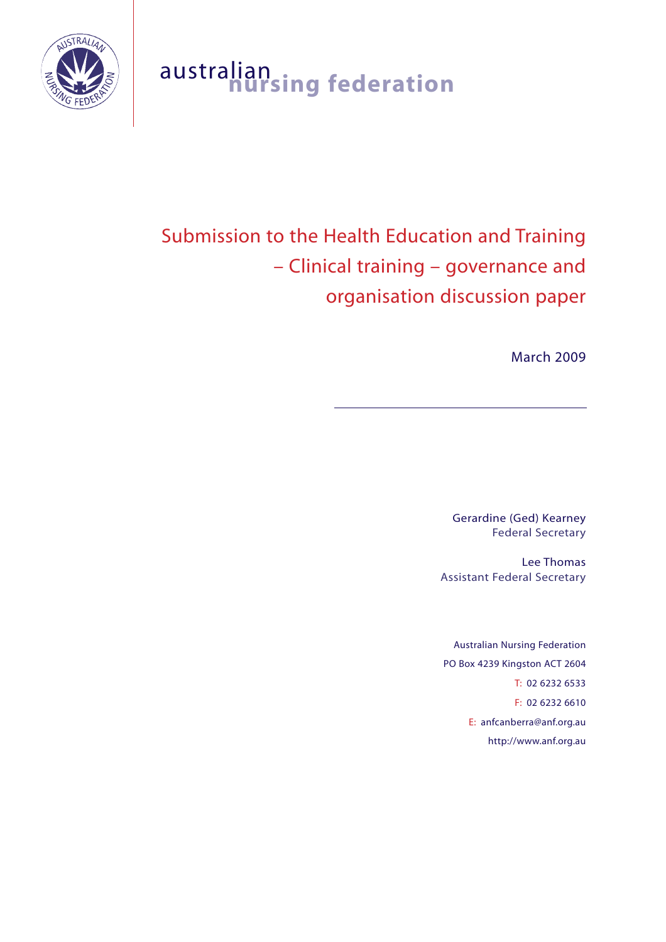

## australian **nursing federation**

# Submission to the Health Education and Training – Clinical training – governance and organisation discussion paper

March 2009

Gerardine (Ged) Kearney Federal Secretary

Lee Thomas Assistant Federal Secretary

Australian Nursing Federation PO Box 4239 Kingston ACT 2604 T: 02 6232 6533 F: 02 6232 6610 E: anfcanberra@anf.org.au http://www.anf.org.au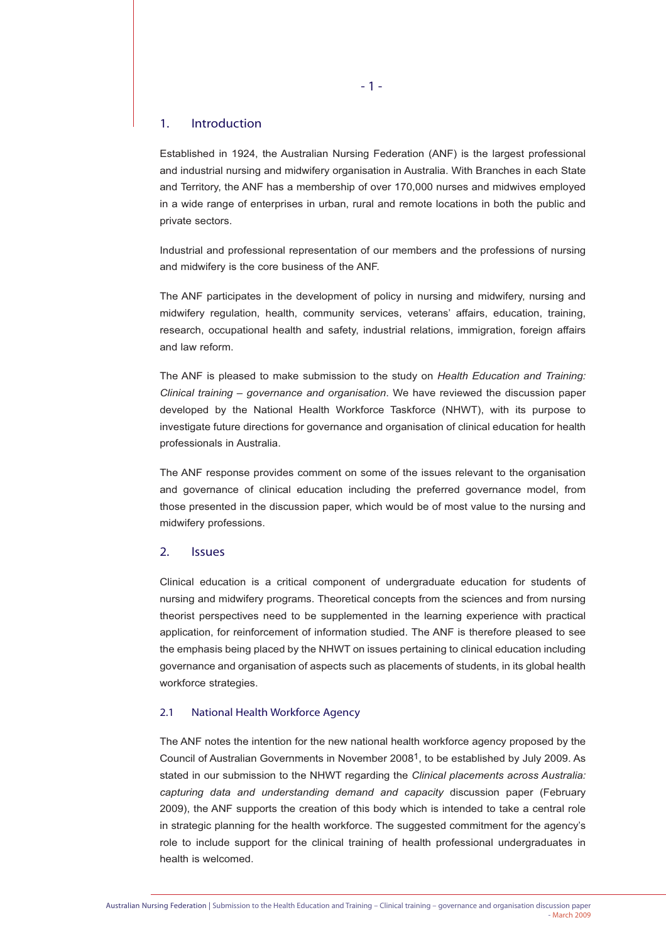#### 1. Introduction

Established in 1924, the Australian Nursing Federation (ANF) is the largest professional and industrial nursing and midwifery organisation in Australia. With Branches in each State and Territory, the ANF has a membership of over 170,000 nurses and midwives employed in a wide range of enterprises in urban, rural and remote locations in both the public and private sectors.

Industrial and professional representation of our members and the professions of nursing and midwifery is the core business of the ANF.

The ANF participates in the development of policy in nursing and midwifery, nursing and midwifery regulation, health, community services, veterans' affairs, education, training, research, occupational health and safety, industrial relations, immigration, foreign affairs and law reform.

The ANF is pleased to make submission to the study on *Health Education and Training: Clinical training – governance and organisation*. We have reviewed the discussion paper developed by the National Health Workforce Taskforce (NHWT), with its purpose to investigate future directions for governance and organisation of clinical education for health professionals in Australia.

The ANF response provides comment on some of the issues relevant to the organisation and governance of clinical education including the preferred governance model, from those presented in the discussion paper, which would be of most value to the nursing and midwifery professions.

#### 2. Issues

Clinical education is a critical component of undergraduate education for students of nursing and midwifery programs. Theoretical concepts from the sciences and from nursing theorist perspectives need to be supplemented in the learning experience with practical application, for reinforcement of information studied. The ANF is therefore pleased to see the emphasis being placed by the NHWT on issues pertaining to clinical education including governance and organisation of aspects such as placements of students, in its global health workforce strategies.

#### 2.1 National Health Workforce Agency

The ANF notes the intention for the new national health workforce agency proposed by the Council of Australian Governments in November 20081, to be established by July 2009. As stated in our submission to the NHWT regarding the *Clinical placements across Australia: capturing data and understanding demand and capacity* discussion paper (February 2009), the ANF supports the creation of this body which is intended to take a central role in strategic planning for the health workforce. The suggested commitment for the agency's role to include support for the clinical training of health professional undergraduates in health is welcomed.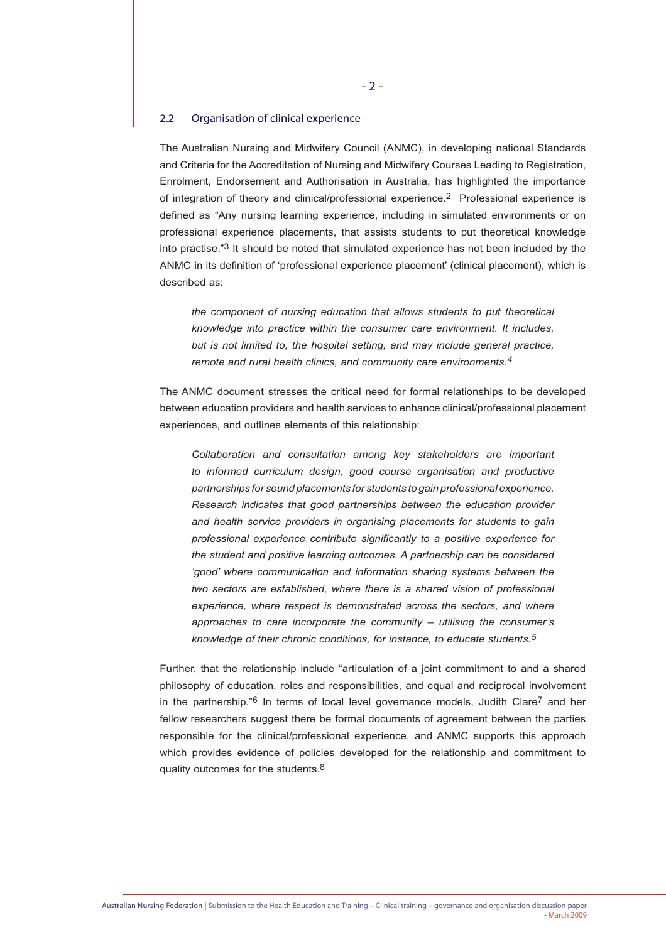#### 2.2 Organisation of clinical experience

The Australian Nursing and Midwifery Council (ANMC), in developing national Standards and Criteria for the Accreditation of Nursing and Midwifery Courses Leading to Registration, Enrolment, Endorsement and Authorisation in Australia, has highlighted the importance of integration of theory and clinical/professional experience.2 Professional experience is defined as "Any nursing learning experience, including in simulated environments or on professional experience placements, that assists students to put theoretical knowledge into practise."3 It should be noted that simulated experience has not been included by the ANMC in its definition of 'professional experience placement' (clinical placement), which is described as:

*the component of nursing education that allows students to put theoretical knowledge into practice within the consumer care environment. It includes, but is not limited to, the hospital setting, and may include general practice, remote and rural health clinics, and community care environments.4*

The ANMC document stresses the critical need for formal relationships to be developed between education providers and health services to enhance clinical/professional placement experiences, and outlines elements of this relationship:

*Collaboration and consultation among key stakeholders are important to informed curriculum design, good course organisation and productive partnerships for sound placements for students to gain professional experience. Research indicates that good partnerships between the education provider and health service providers in organising placements for students to gain professional experience contribute significantly to a positive experience for the student and positive learning outcomes. A partnership can be considered 'good' where communication and information sharing systems between the two sectors are established, where there is a shared vision of professional experience, where respect is demonstrated across the sectors, and where approaches to care incorporate the community – utilising the consumer's knowledge of their chronic conditions, for instance, to educate students.5*

Further, that the relationship include "articulation of a joint commitment to and a shared philosophy of education, roles and responsibilities, and equal and reciprocal involvement in the partnership." $6$  In terms of local level governance models, Judith Clare<sup>7</sup> and her fellow researchers suggest there be formal documents of agreement between the parties responsible for the clinical/professional experience, and ANMC supports this approach which provides evidence of policies developed for the relationship and commitment to quality outcomes for the students.<sup>8</sup>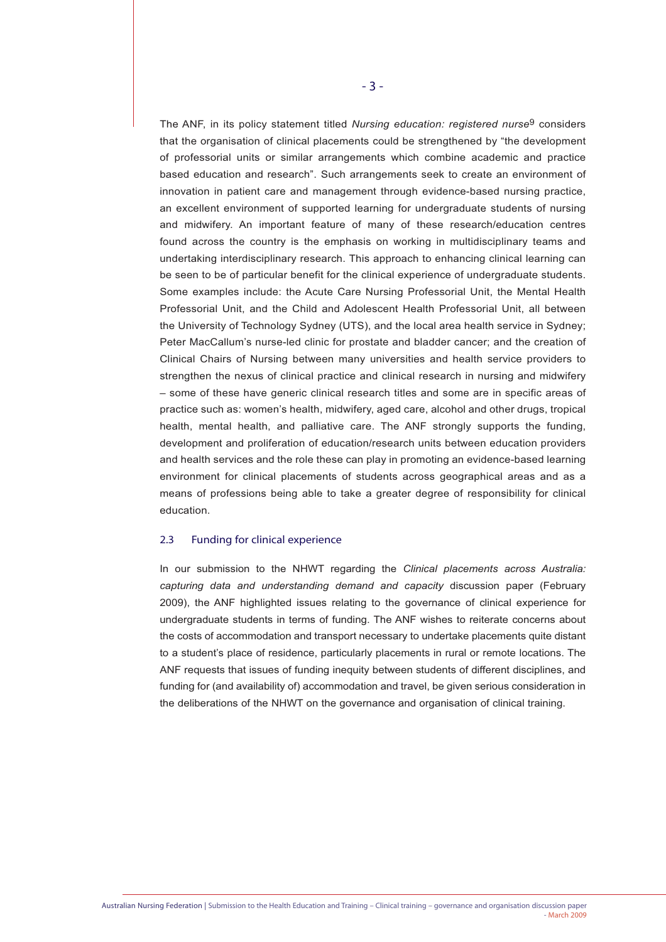The ANF, in its policy statement titled *Nursing education: registered nurse*9 considers that the organisation of clinical placements could be strengthened by "the development of professorial units or similar arrangements which combine academic and practice based education and research". Such arrangements seek to create an environment of innovation in patient care and management through evidence-based nursing practice, an excellent environment of supported learning for undergraduate students of nursing and midwifery. An important feature of many of these research/education centres found across the country is the emphasis on working in multidisciplinary teams and undertaking interdisciplinary research. This approach to enhancing clinical learning can be seen to be of particular benefit for the clinical experience of undergraduate students. Some examples include: the Acute Care Nursing Professorial Unit, the Mental Health Professorial Unit, and the Child and Adolescent Health Professorial Unit, all between the University of Technology Sydney (UTS), and the local area health service in Sydney; Peter MacCallum's nurse-led clinic for prostate and bladder cancer; and the creation of Clinical Chairs of Nursing between many universities and health service providers to strengthen the nexus of clinical practice and clinical research in nursing and midwifery – some of these have generic clinical research titles and some are in specific areas of practice such as: women's health, midwifery, aged care, alcohol and other drugs, tropical health, mental health, and palliative care. The ANF strongly supports the funding, development and proliferation of education/research units between education providers and health services and the role these can play in promoting an evidence-based learning environment for clinical placements of students across geographical areas and as a means of professions being able to take a greater degree of responsibility for clinical education.

#### 2.3 Funding for clinical experience

In our submission to the NHWT regarding the *Clinical placements across Australia: capturing data and understanding demand and capacity* discussion paper (February 2009), the ANF highlighted issues relating to the governance of clinical experience for undergraduate students in terms of funding. The ANF wishes to reiterate concerns about the costs of accommodation and transport necessary to undertake placements quite distant to a student's place of residence, particularly placements in rural or remote locations. The ANF requests that issues of funding inequity between students of different disciplines, and funding for (and availability of) accommodation and travel, be given serious consideration in the deliberations of the NHWT on the governance and organisation of clinical training.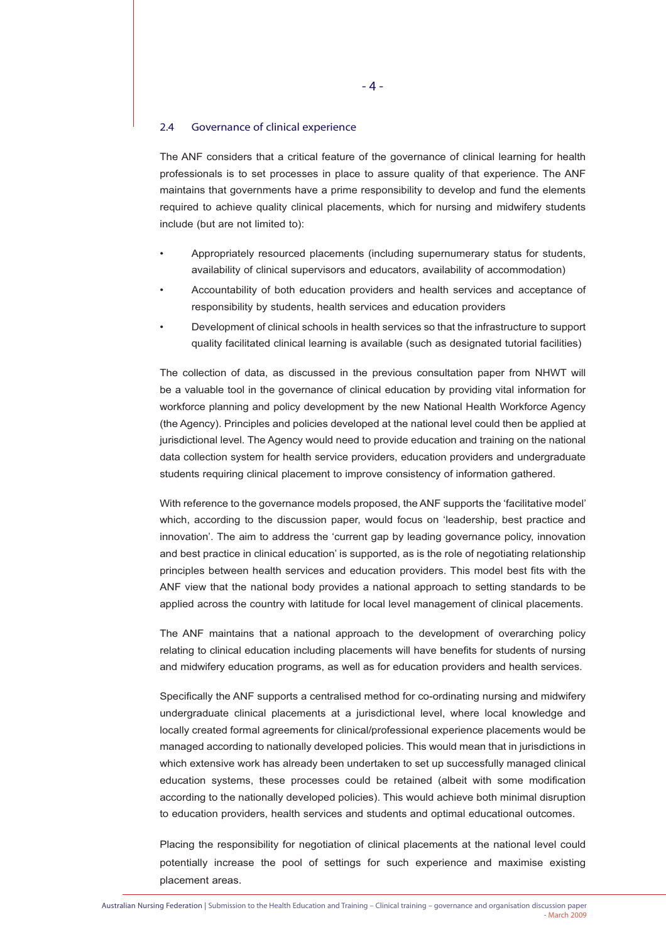#### 2.4 Governance of clinical experience

The ANF considers that a critical feature of the governance of clinical learning for health professionals is to set processes in place to assure quality of that experience. The ANF maintains that governments have a prime responsibility to develop and fund the elements required to achieve quality clinical placements, which for nursing and midwifery students include (but are not limited to):

- Appropriately resourced placements (including supernumerary status for students, availability of clinical supervisors and educators, availability of accommodation)
- Accountability of both education providers and health services and acceptance of responsibility by students, health services and education providers
- Development of clinical schools in health services so that the infrastructure to support quality facilitated clinical learning is available (such as designated tutorial facilities)

The collection of data, as discussed in the previous consultation paper from NHWT will be a valuable tool in the governance of clinical education by providing vital information for workforce planning and policy development by the new National Health Workforce Agency (the Agency). Principles and policies developed at the national level could then be applied at jurisdictional level. The Agency would need to provide education and training on the national data collection system for health service providers, education providers and undergraduate students requiring clinical placement to improve consistency of information gathered.

With reference to the governance models proposed, the ANF supports the 'facilitative model' which, according to the discussion paper, would focus on 'leadership, best practice and innovation'. The aim to address the 'current gap by leading governance policy, innovation and best practice in clinical education' is supported, as is the role of negotiating relationship principles between health services and education providers. This model best fits with the ANF view that the national body provides a national approach to setting standards to be applied across the country with latitude for local level management of clinical placements.

The ANF maintains that a national approach to the development of overarching policy relating to clinical education including placements will have benefits for students of nursing and midwifery education programs, as well as for education providers and health services.

Specifically the ANF supports a centralised method for co-ordinating nursing and midwifery undergraduate clinical placements at a jurisdictional level, where local knowledge and locally created formal agreements for clinical/professional experience placements would be managed according to nationally developed policies. This would mean that in jurisdictions in which extensive work has already been undertaken to set up successfully managed clinical education systems, these processes could be retained (albeit with some modification according to the nationally developed policies). This would achieve both minimal disruption to education providers, health services and students and optimal educational outcomes.

Placing the responsibility for negotiation of clinical placements at the national level could potentially increase the pool of settings for such experience and maximise existing placement areas.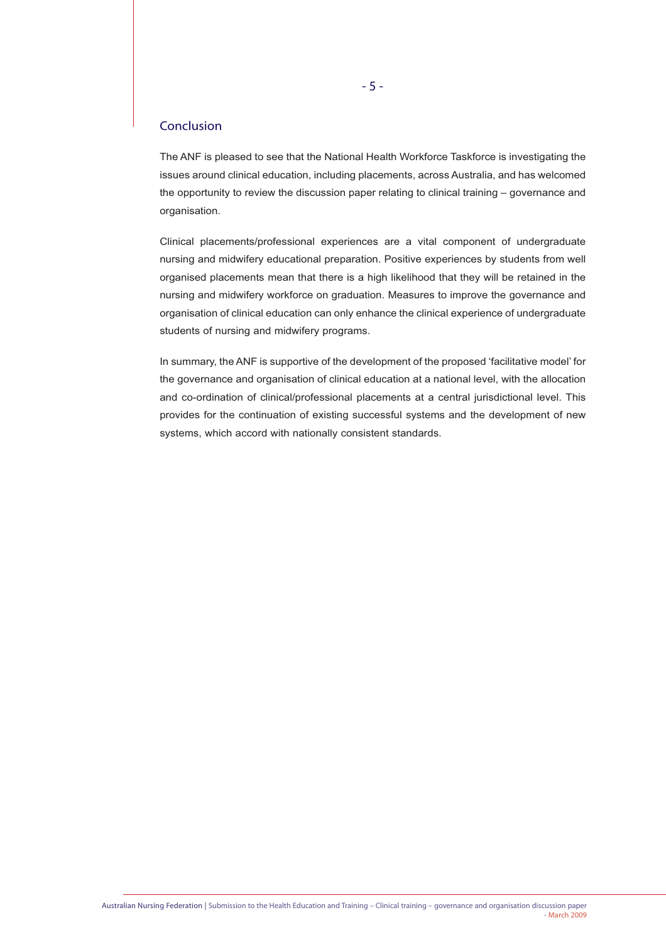### Conclusion

The ANF is pleased to see that the National Health Workforce Taskforce is investigating the issues around clinical education, including placements, across Australia, and has welcomed the opportunity to review the discussion paper relating to clinical training – governance and organisation.

Clinical placements/professional experiences are a vital component of undergraduate nursing and midwifery educational preparation. Positive experiences by students from well organised placements mean that there is a high likelihood that they will be retained in the nursing and midwifery workforce on graduation. Measures to improve the governance and organisation of clinical education can only enhance the clinical experience of undergraduate students of nursing and midwifery programs.

In summary, the ANF is supportive of the development of the proposed 'facilitative model' for the governance and organisation of clinical education at a national level, with the allocation and co-ordination of clinical/professional placements at a central jurisdictional level. This provides for the continuation of existing successful systems and the development of new systems, which accord with nationally consistent standards.